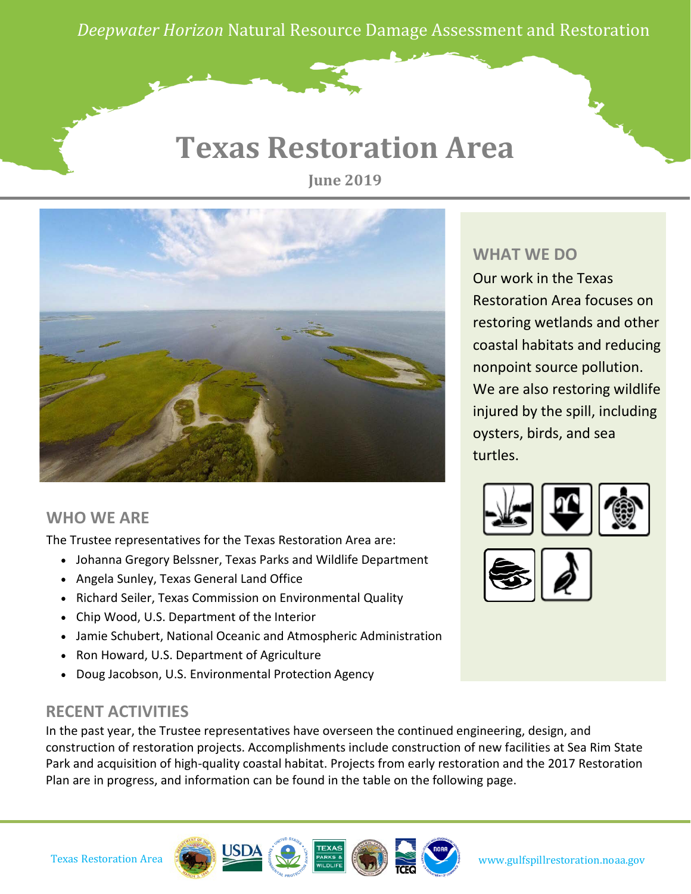*Deepwater Horizon* Natural Resource Damage Assessment and Restoration

## **Texas Restoration Area**

**June 2019**



### **WHO WE ARE**

The Trustee representatives for the Texas Restoration Area are:

- Johanna Gregory Belssner, Texas Parks and Wildlife Department
- Angela Sunley, Texas General Land Office
- Richard Seiler, Texas Commission on Environmental Quality
- Chip Wood, U.S. Department of the Interior
- Jamie Schubert, National Oceanic and Atmospheric Administration
- Ron Howard, U.S. Department of Agriculture
- Doug Jacobson, U.S. Environmental Protection Agency

### **RECENT ACTIVITIES**

In the past year, the Trustee representatives have overseen the continued engineering, design, and construction of restoration projects. Accomplishments include construction of new facilities at Sea Rim State Park and acquisition of high-quality coastal habitat. Projects from early restoration and the 2017 Restoration Plan are in progress, and information can be found in the table on the following page.

#### **WHAT WE DO**

Our work in the Texas Restoration Area focuses on restoring wetlands and other coastal habitats and reducing nonpoint source pollution. We are also restoring wildlife injured by the spill, including oysters, birds, and sea turtles.



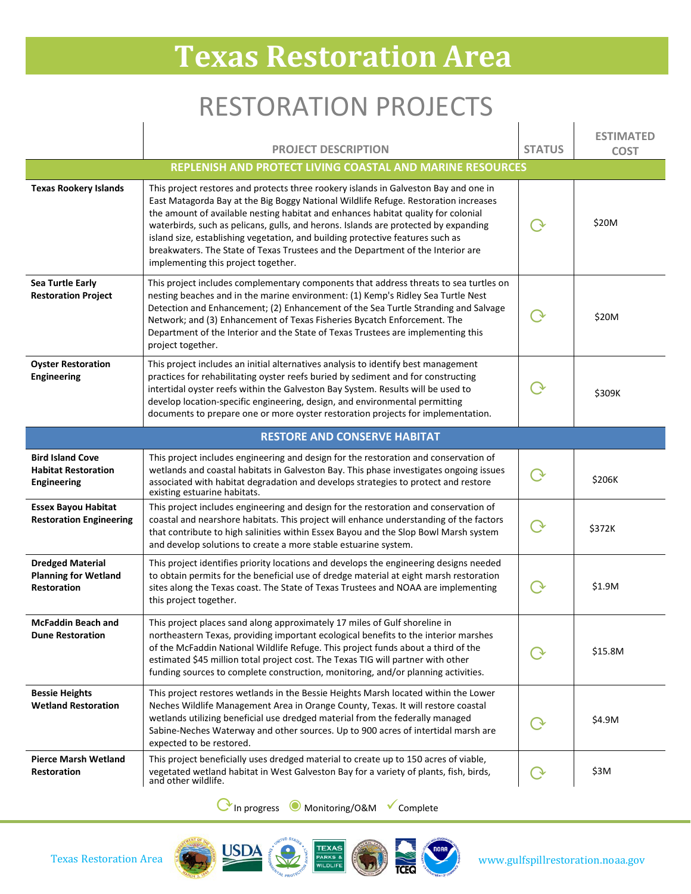# **Texas Restoration Area**

## RESTORATION PROJECTS

 $\overline{1}$ 

 $\overline{1}$ 

|                                                                              | <b>PROJECT DESCRIPTION</b>                                                                                                                                                                                                                                                                                                                                                                                                                                                                                                                                          | <b>STATUS</b> | <b>ESTIMATED</b><br><b>COST</b> |  |  |
|------------------------------------------------------------------------------|---------------------------------------------------------------------------------------------------------------------------------------------------------------------------------------------------------------------------------------------------------------------------------------------------------------------------------------------------------------------------------------------------------------------------------------------------------------------------------------------------------------------------------------------------------------------|---------------|---------------------------------|--|--|
| REPLENISH AND PROTECT LIVING COASTAL AND MARINE RESOURCES                    |                                                                                                                                                                                                                                                                                                                                                                                                                                                                                                                                                                     |               |                                 |  |  |
| <b>Texas Rookery Islands</b>                                                 | This project restores and protects three rookery islands in Galveston Bay and one in<br>East Matagorda Bay at the Big Boggy National Wildlife Refuge. Restoration increases<br>the amount of available nesting habitat and enhances habitat quality for colonial<br>waterbirds, such as pelicans, gulls, and herons. Islands are protected by expanding<br>island size, establishing vegetation, and building protective features such as<br>breakwaters. The State of Texas Trustees and the Department of the Interior are<br>implementing this project together. |               | \$20M                           |  |  |
| Sea Turtle Early<br><b>Restoration Project</b>                               | This project includes complementary components that address threats to sea turtles on<br>nesting beaches and in the marine environment: (1) Kemp's Ridley Sea Turtle Nest<br>Detection and Enhancement; (2) Enhancement of the Sea Turtle Stranding and Salvage<br>Network; and (3) Enhancement of Texas Fisheries Bycatch Enforcement. The<br>Department of the Interior and the State of Texas Trustees are implementing this<br>project together.                                                                                                                |               | \$20M                           |  |  |
| <b>Oyster Restoration</b><br>Engineering                                     | This project includes an initial alternatives analysis to identify best management<br>practices for rehabilitating oyster reefs buried by sediment and for constructing<br>intertidal oyster reefs within the Galveston Bay System. Results will be used to<br>develop location-specific engineering, design, and environmental permitting<br>documents to prepare one or more oyster restoration projects for implementation.                                                                                                                                      |               | \$309K                          |  |  |
| <b>RESTORE AND CONSERVE HABITAT</b>                                          |                                                                                                                                                                                                                                                                                                                                                                                                                                                                                                                                                                     |               |                                 |  |  |
| <b>Bird Island Cove</b><br><b>Habitat Restoration</b><br>Engineering         | This project includes engineering and design for the restoration and conservation of<br>wetlands and coastal habitats in Galveston Bay. This phase investigates ongoing issues<br>associated with habitat degradation and develops strategies to protect and restore<br>existing estuarine habitats.                                                                                                                                                                                                                                                                |               | \$206K                          |  |  |
| <b>Essex Bayou Habitat</b><br><b>Restoration Engineering</b>                 | This project includes engineering and design for the restoration and conservation of<br>coastal and nearshore habitats. This project will enhance understanding of the factors<br>that contribute to high salinities within Essex Bayou and the Slop Bowl Marsh system<br>and develop solutions to create a more stable estuarine system.                                                                                                                                                                                                                           |               | \$372K                          |  |  |
| <b>Dredged Material</b><br><b>Planning for Wetland</b><br><b>Restoration</b> | This project identifies priority locations and develops the engineering designs needed<br>to obtain permits for the beneficial use of dredge material at eight marsh restoration<br>sites along the Texas coast. The State of Texas Trustees and NOAA are implementing<br>this project together.                                                                                                                                                                                                                                                                    |               | \$1.9M                          |  |  |
| <b>McFaddin Beach and</b><br><b>Dune Restoration</b>                         | This project places sand along approximately 17 miles of Gulf shoreline in<br>northeastern Texas, providing important ecological benefits to the interior marshes<br>of the McFaddin National Wildlife Refuge. This project funds about a third of the<br>estimated \$45 million total project cost. The Texas TIG will partner with other<br>funding sources to complete construction, monitoring, and/or planning activities.                                                                                                                                     |               | \$15.8M                         |  |  |
| <b>Bessie Heights</b><br><b>Wetland Restoration</b>                          | This project restores wetlands in the Bessie Heights Marsh located within the Lower<br>Neches Wildlife Management Area in Orange County, Texas. It will restore coastal<br>wetlands utilizing beneficial use dredged material from the federally managed<br>Sabine-Neches Waterway and other sources. Up to 900 acres of intertidal marsh are<br>expected to be restored.                                                                                                                                                                                           |               | \$4.9M                          |  |  |
| <b>Pierce Marsh Wetland</b><br><b>Restoration</b>                            | This project beneficially uses dredged material to create up to 150 acres of viable,<br>vegetated wetland habitat in West Galveston Bay for a variety of plants, fish, birds,<br>and other wildlife.                                                                                                                                                                                                                                                                                                                                                                |               | \$3M                            |  |  |

⟳In progress ◉Monitoring/O&M Complete

 $\overline{1}$